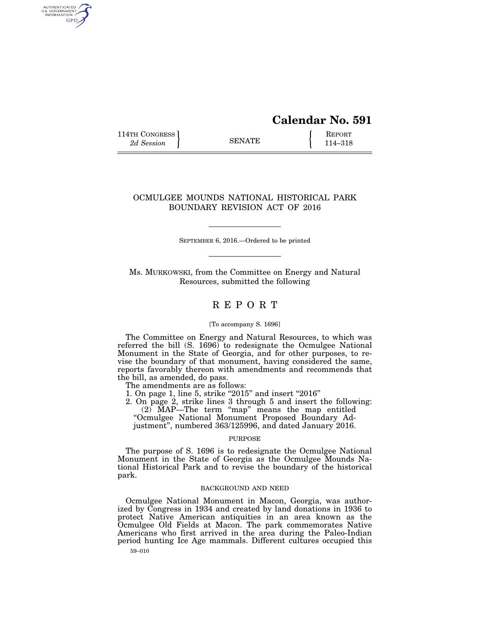# **Calendar No. 591**

114TH CONGRESS **REPORT** 2d Session **114–318** 

AUTHENTICATED<br>U.S. GOVERNMENT<br>INFORMATION GPO

# OCMULGEE MOUNDS NATIONAL HISTORICAL PARK BOUNDARY REVISION ACT OF 2016

SEPTEMBER 6, 2016.—Ordered to be printed

Ms. MURKOWSKI, from the Committee on Energy and Natural Resources, submitted the following

# R E P O R T

#### [To accompany S. 1696]

The Committee on Energy and Natural Resources, to which was referred the bill (S. 1696) to redesignate the Ocmulgee National Monument in the State of Georgia, and for other purposes, to revise the boundary of that monument, having considered the same, reports favorably thereon with amendments and recommends that the bill, as amended, do pass.

The amendments are as follows:

1. On page 1, line 5, strike "2015" and insert "2016"

2. On page 2, strike lines 3 through 5 and insert the following: (2) MAP—The term ''map'' means the map entitled

''Ocmulgee National Monument Proposed Boundary Adjustment'', numbered 363/125996, and dated January 2016.

#### PURPOSE

The purpose of S. 1696 is to redesignate the Ocmulgee National Monument in the State of Georgia as the Ocmulgee Mounds National Historical Park and to revise the boundary of the historical park.

## BACKGROUND AND NEED

Ocmulgee National Monument in Macon, Georgia, was authorized by Congress in 1934 and created by land donations in 1936 to protect Native American antiquities in an area known as the Ocmulgee Old Fields at Macon. The park commemorates Native Americans who first arrived in the area during the Paleo-Indian period hunting Ice Age mammals. Different cultures occupied this

59–010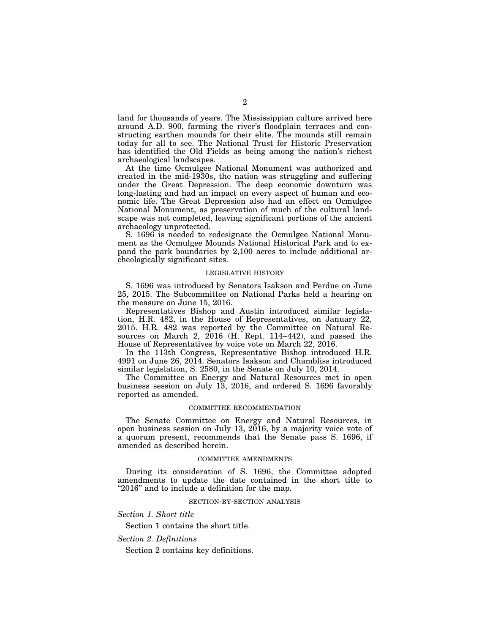land for thousands of years. The Mississippian culture arrived here around A.D. 900, farming the river's floodplain terraces and constructing earthen mounds for their elite. The mounds still remain today for all to see. The National Trust for Historic Preservation has identified the Old Fields as being among the nation's richest archaeological landscapes.

At the time Ocmulgee National Monument was authorized and created in the mid-1930s, the nation was struggling and suffering under the Great Depression. The deep economic downturn was long-lasting and had an impact on every aspect of human and economic life. The Great Depression also had an effect on Ocmulgee National Monument, as preservation of much of the cultural landscape was not completed, leaving significant portions of the ancient archaeology unprotected.

S. 1696 is needed to redesignate the Ocmulgee National Monument as the Ocmulgee Mounds National Historical Park and to expand the park boundaries by 2,100 acres to include additional archeologically significant sites.

### LEGISLATIVE HISTORY

S. 1696 was introduced by Senators Isakson and Perdue on June 25, 2015. The Subcommittee on National Parks held a hearing on the measure on June 15, 2016.

Representatives Bishop and Austin introduced similar legislation, H.R. 482, in the House of Representatives, on January 22, 2015. H.R. 482 was reported by the Committee on Natural Resources on March 2, 2016 (H. Rept. 114–442), and passed the House of Representatives by voice vote on March 22, 2016.

In the 113th Congress, Representative Bishop introduced H.R. 4991 on June 26, 2014. Senators Isakson and Chambliss introduced similar legislation, S. 2580, in the Senate on July 10, 2014.

The Committee on Energy and Natural Resources met in open business session on July 13, 2016, and ordered S. 1696 favorably reported as amended.

#### COMMITTEE RECOMMENDATION

The Senate Committee on Energy and Natural Resources, in open business session on July 13, 2016, by a majority voice vote of a quorum present, recommends that the Senate pass S. 1696, if amended as described herein.

#### COMMITTEE AMENDMENTS

During its consideration of S. 1696, the Committee adopted amendments to update the date contained in the short title to "2016" and to include a definition for the map.

# SECTION-BY-SECTION ANALYSIS

*Section 1. Short title* 

Section 1 contains the short title.

*Section 2. Definitions* 

Section 2 contains key definitions.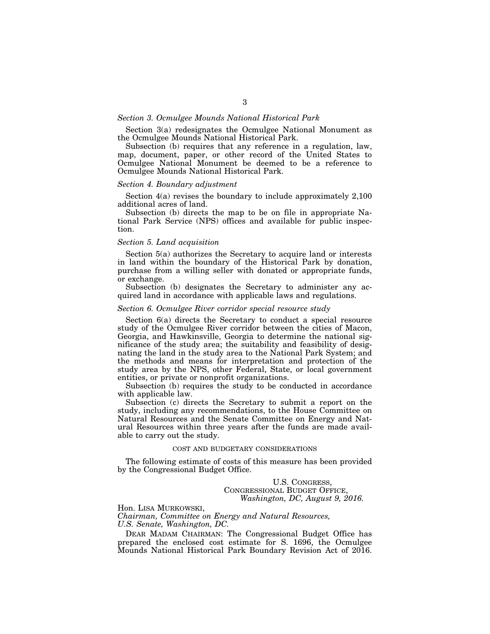# *Section 3. Ocmulgee Mounds National Historical Park*

Section 3(a) redesignates the Ocmulgee National Monument as the Ocmulgee Mounds National Historical Park.

Subsection (b) requires that any reference in a regulation, law, map, document, paper, or other record of the United States to Ocmulgee National Monument be deemed to be a reference to Ocmulgee Mounds National Historical Park.

#### *Section 4. Boundary adjustment*

Section 4(a) revises the boundary to include approximately 2,100 additional acres of land.

Subsection (b) directs the map to be on file in appropriate National Park Service (NPS) offices and available for public inspection.

# *Section 5. Land acquisition*

Section 5(a) authorizes the Secretary to acquire land or interests in land within the boundary of the Historical Park by donation, purchase from a willing seller with donated or appropriate funds, or exchange.

Subsection (b) designates the Secretary to administer any acquired land in accordance with applicable laws and regulations.

# *Section 6. Ocmulgee River corridor special resource study*

Section 6(a) directs the Secretary to conduct a special resource study of the Ocmulgee River corridor between the cities of Macon, Georgia, and Hawkinsville, Georgia to determine the national significance of the study area; the suitability and feasibility of designating the land in the study area to the National Park System; and the methods and means for interpretation and protection of the study area by the NPS, other Federal, State, or local government entities, or private or nonprofit organizations.

Subsection (b) requires the study to be conducted in accordance with applicable law.

Subsection (c) directs the Secretary to submit a report on the study, including any recommendations, to the House Committee on Natural Resources and the Senate Committee on Energy and Natural Resources within three years after the funds are made available to carry out the study.

# COST AND BUDGETARY CONSIDERATIONS

The following estimate of costs of this measure has been provided by the Congressional Budget Office.

> U.S. CONGRESS, CONGRESSIONAL BUDGET OFFICE, *Washington, DC, August 9, 2016.*

Hon. LISA MURKOWSKI, *Chairman, Committee on Energy and Natural Resources, U.S. Senate, Washington, DC.* 

DEAR MADAM CHAIRMAN: The Congressional Budget Office has prepared the enclosed cost estimate for S. 1696, the Ocmulgee Mounds National Historical Park Boundary Revision Act of 2016.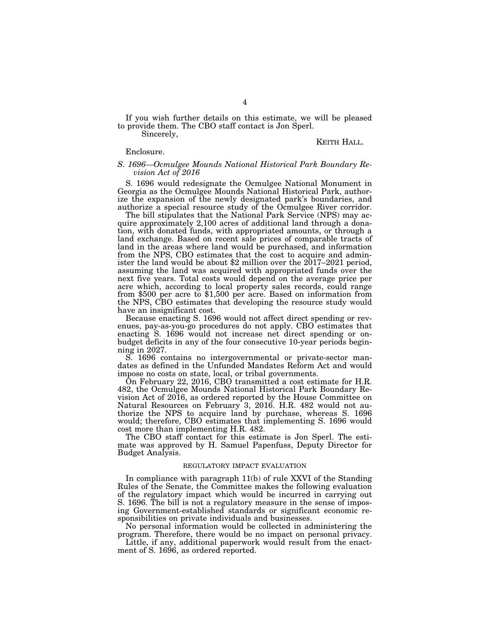If you wish further details on this estimate, we will be pleased to provide them. The CBO staff contact is Jon Sperl.

Sincerely,

### KEITH HALL.

#### Enclosure.

#### *S. 1696—Ocmulgee Mounds National Historical Park Boundary Revision Act of 2016*

S. 1696 would redesignate the Ocmulgee National Monument in Georgia as the Ocmulgee Mounds National Historical Park, authorize the expansion of the newly designated park's boundaries, and authorize a special resource study of the Ocmulgee River corridor.

The bill stipulates that the National Park Service (NPS) may acquire approximately 2,100 acres of additional land through a donation, with donated funds, with appropriated amounts, or through a land exchange. Based on recent sale prices of comparable tracts of land in the areas where land would be purchased, and information from the NPS, CBO estimates that the cost to acquire and administer the land would be about \$2 million over the 2017–2021 period, assuming the land was acquired with appropriated funds over the next five years. Total costs would depend on the average price per acre which, according to local property sales records, could range from \$500 per acre to \$1,500 per acre. Based on information from the NPS, CBO estimates that developing the resource study would have an insignificant cost.

Because enacting S. 1696 would not affect direct spending or revenues, pay-as-you-go procedures do not apply. CBO estimates that enacting S. 1696 would not increase net direct spending or onbudget deficits in any of the four consecutive 10-year periods beginning in 2027.

S. 1696 contains no intergovernmental or private-sector mandates as defined in the Unfunded Mandates Reform Act and would impose no costs on state, local, or tribal governments.

On February 22, 2016, CBO transmitted a cost estimate for H.R. 482, the Ocmulgee Mounds National Historical Park Boundary Revision Act of 2016, as ordered reported by the House Committee on Natural Resources on February 3, 2016. H.R. 482 would not authorize the NPS to acquire land by purchase, whereas S. 1696 would; therefore, CBO estimates that implementing S. 1696 would cost more than implementing H.R. 482.

The CBO staff contact for this estimate is Jon Sperl. The estimate was approved by H. Samuel Papenfuss, Deputy Director for Budget Analysis.

# REGULATORY IMPACT EVALUATION

In compliance with paragraph 11(b) of rule XXVI of the Standing Rules of the Senate, the Committee makes the following evaluation of the regulatory impact which would be incurred in carrying out S. 1696. The bill is not a regulatory measure in the sense of imposing Government-established standards or significant economic responsibilities on private individuals and businesses.

No personal information would be collected in administering the program. Therefore, there would be no impact on personal privacy.

Little, if any, additional paperwork would result from the enactment of S. 1696, as ordered reported.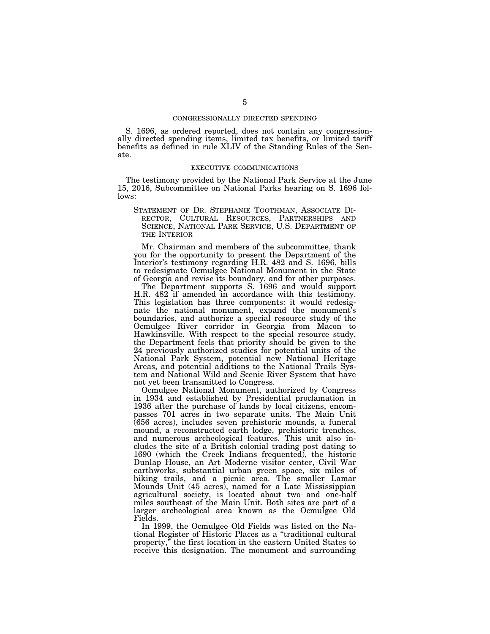#### CONGRESSIONALLY DIRECTED SPENDING

S. 1696, as ordered reported, does not contain any congressionally directed spending items, limited tax benefits, or limited tariff benefits as defined in rule XLIV of the Standing Rules of the Senate.

# EXECUTIVE COMMUNICATIONS

The testimony provided by the National Park Service at the June 15, 2016, Subcommittee on National Parks hearing on S. 1696 follows:

STATEMENT OF DR. STEPHANIE TOOTHMAN, ASSOCIATE DI- RECTOR, CULTURAL RESOURCES, PARTNERSHIPS AND SCIENCE, NATIONAL PARK SERVICE, U.S. DEPARTMENT OF THE INTERIOR

Mr. Chairman and members of the subcommittee, thank you for the opportunity to present the Department of the Interior's testimony regarding H.R. 482 and S. 1696, bills to redesignate Ocmulgee National Monument in the State of Georgia and revise its boundary, and for other purposes.

The Department supports S. 1696 and would support H.R. 482 if amended in accordance with this testimony. This legislation has three components: it would redesignate the national monument, expand the monument's boundaries, and authorize a special resource study of the Ocmulgee River corridor in Georgia from Macon to Hawkinsville. With respect to the special resource study, the Department feels that priority should be given to the 24 previously authorized studies for potential units of the National Park System, potential new National Heritage Areas, and potential additions to the National Trails System and National Wild and Scenic River System that have not yet been transmitted to Congress.

Ocmulgee National Monument, authorized by Congress in 1934 and established by Presidential proclamation in 1936 after the purchase of lands by local citizens, encompasses 701 acres in two separate units. The Main Unit (656 acres), includes seven prehistoric mounds, a funeral mound, a reconstructed earth lodge, prehistoric trenches, and numerous archeological features. This unit also includes the site of a British colonial trading post dating to 1690 (which the Creek Indians frequented), the historic Dunlap House, an Art Moderne visitor center, Civil War earthworks, substantial urban green space, six miles of hiking trails, and a picnic area. The smaller Lamar Mounds Unit (45 acres), named for a Late Mississippian agricultural society, is located about two and one-half miles southeast of the Main Unit. Both sites are part of a larger archeological area known as the Ocmulgee Old Fields.

In 1999, the Ocmulgee Old Fields was listed on the National Register of Historic Places as a ''traditional cultural property,'' the first location in the eastern United States to receive this designation. The monument and surrounding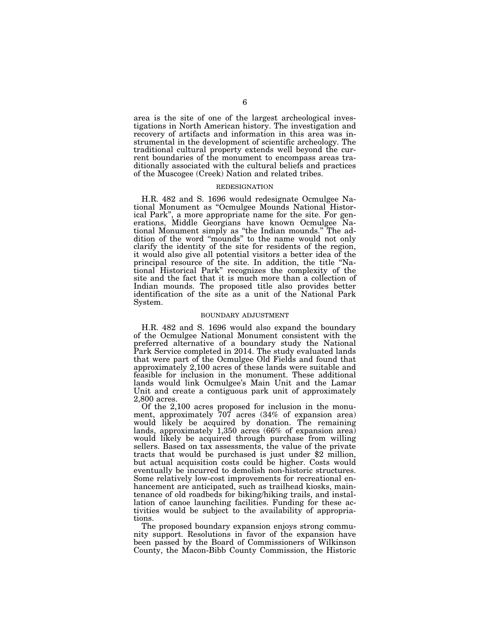area is the site of one of the largest archeological investigations in North American history. The investigation and recovery of artifacts and information in this area was instrumental in the development of scientific archeology. The traditional cultural property extends well beyond the current boundaries of the monument to encompass areas traditionally associated with the cultural beliefs and practices of the Muscogee (Creek) Nation and related tribes.

#### REDESIGNATION

H.R. 482 and S. 1696 would redesignate Ocmulgee National Monument as ''Ocmulgee Mounds National Historical Park'', a more appropriate name for the site. For generations, Middle Georgians have known Ocmulgee National Monument simply as ''the Indian mounds.'' The addition of the word ''mounds'' to the name would not only clarify the identity of the site for residents of the region, it would also give all potential visitors a better idea of the principal resource of the site. In addition, the title ''National Historical Park'' recognizes the complexity of the site and the fact that it is much more than a collection of Indian mounds. The proposed title also provides better identification of the site as a unit of the National Park System.

#### BOUNDARY ADJUSTMENT

H.R. 482 and S. 1696 would also expand the boundary of the Ocmulgee National Monument consistent with the preferred alternative of a boundary study the National Park Service completed in 2014. The study evaluated lands that were part of the Ocmulgee Old Fields and found that approximately 2,100 acres of these lands were suitable and feasible for inclusion in the monument. These additional lands would link Ocmulgee's Main Unit and the Lamar Unit and create a contiguous park unit of approximately 2,800 acres.

Of the 2,100 acres proposed for inclusion in the monument, approximately 707 acres (34% of expansion area) would likely be acquired by donation. The remaining lands, approximately 1,350 acres (66% of expansion area) would likely be acquired through purchase from willing sellers. Based on tax assessments, the value of the private tracts that would be purchased is just under \$2 million, but actual acquisition costs could be higher. Costs would eventually be incurred to demolish non-historic structures. Some relatively low-cost improvements for recreational enhancement are anticipated, such as trailhead kiosks, maintenance of old roadbeds for biking/hiking trails, and installation of canoe launching facilities. Funding for these activities would be subject to the availability of appropriations.

The proposed boundary expansion enjoys strong community support. Resolutions in favor of the expansion have been passed by the Board of Commissioners of Wilkinson County, the Macon-Bibb County Commission, the Historic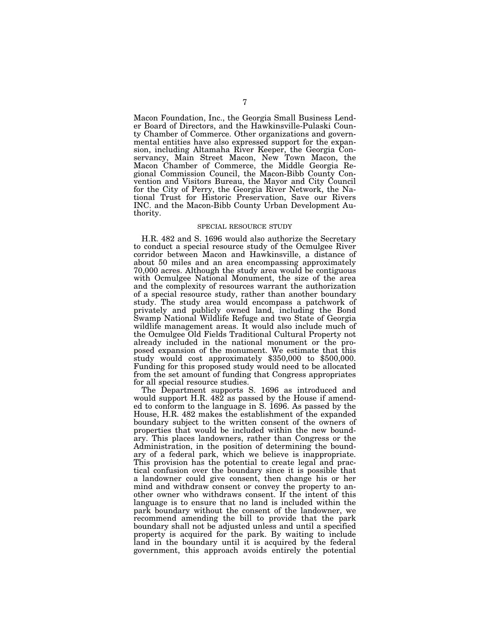Macon Foundation, Inc., the Georgia Small Business Lender Board of Directors, and the Hawkinsville-Pulaski County Chamber of Commerce. Other organizations and governmental entities have also expressed support for the expansion, including Altamaha River Keeper, the Georgia Conservancy, Main Street Macon, New Town Macon, the Macon Chamber of Commerce, the Middle Georgia Regional Commission Council, the Macon-Bibb County Convention and Visitors Bureau, the Mayor and City Council for the City of Perry, the Georgia River Network, the National Trust for Historic Preservation, Save our Rivers INC. and the Macon-Bibb County Urban Development Authority.

#### SPECIAL RESOURCE STUDY

H.R. 482 and S. 1696 would also authorize the Secretary to conduct a special resource study of the Ocmulgee River corridor between Macon and Hawkinsville, a distance of about 50 miles and an area encompassing approximately 70,000 acres. Although the study area would be contiguous with Ocmulgee National Monument, the size of the area and the complexity of resources warrant the authorization of a special resource study, rather than another boundary study. The study area would encompass a patchwork of privately and publicly owned land, including the Bond Swamp National Wildlife Refuge and two State of Georgia wildlife management areas. It would also include much of the Ocmulgee Old Fields Traditional Cultural Property not already included in the national monument or the proposed expansion of the monument. We estimate that this study would cost approximately \$350,000 to \$500,000. Funding for this proposed study would need to be allocated from the set amount of funding that Congress appropriates for all special resource studies.

The Department supports S. 1696 as introduced and would support H.R. 482 as passed by the House if amended to conform to the language in S. 1696. As passed by the House, H.R. 482 makes the establishment of the expanded boundary subject to the written consent of the owners of properties that would be included within the new boundary. This places landowners, rather than Congress or the Administration, in the position of determining the boundary of a federal park, which we believe is inappropriate. This provision has the potential to create legal and practical confusion over the boundary since it is possible that a landowner could give consent, then change his or her mind and withdraw consent or convey the property to another owner who withdraws consent. If the intent of this language is to ensure that no land is included within the park boundary without the consent of the landowner, we recommend amending the bill to provide that the park boundary shall not be adjusted unless and until a specified property is acquired for the park. By waiting to include land in the boundary until it is acquired by the federal government, this approach avoids entirely the potential